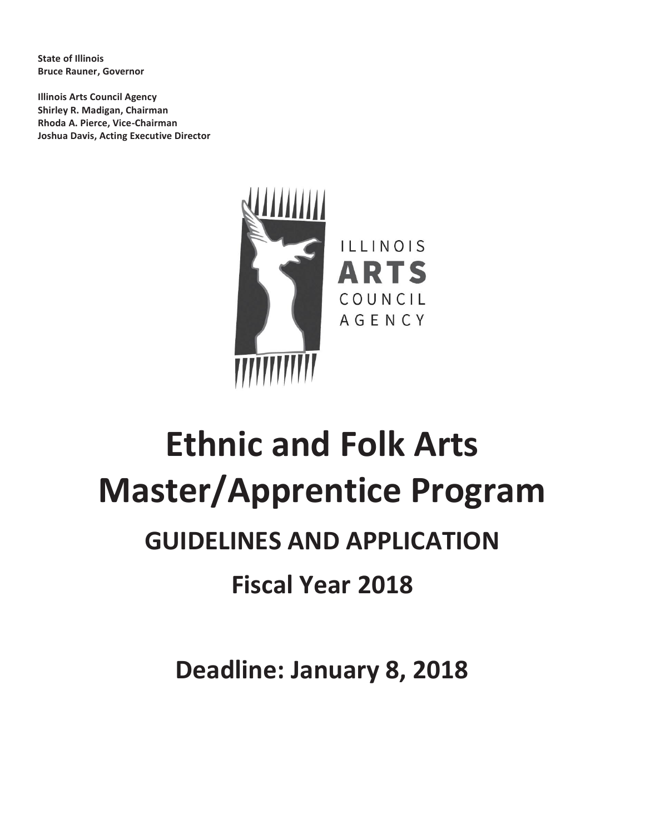**State of Illinois Bruce Rauner, Governor**

**Illinois Arts Council Agency Shirley R. Madigan, Chairman Rhoda A. Pierce, Vice-Chairman Joshua Davis, Acting Executive Director**



# **Ethnic and Folk Arts Master/Apprentice Program GUIDELINES AND APPLICATION Fiscal Year 2018**

**Deadline: January 8, 2018**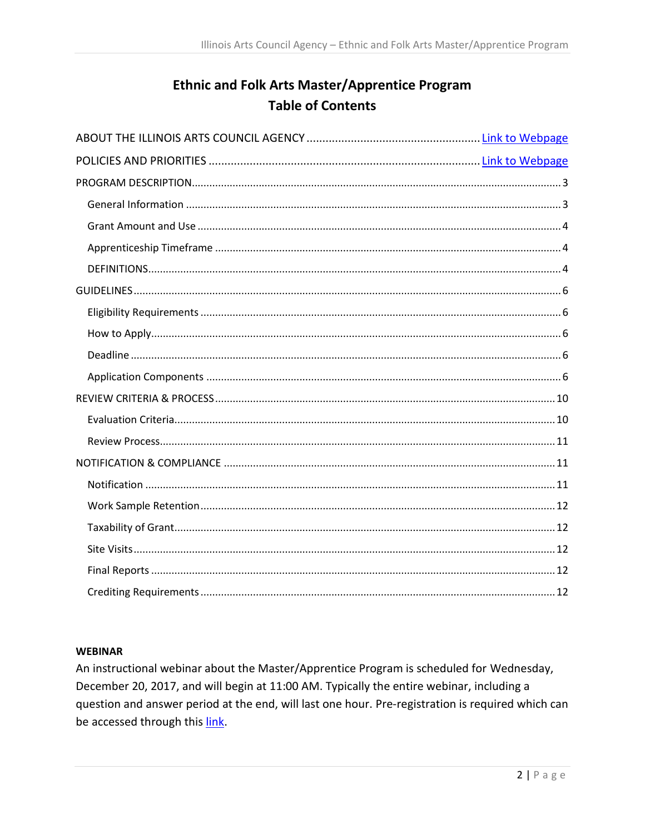# **Ethnic and Folk Arts Master/Apprentice Program Table of Contents**

#### **WEBINAR**

An instructional webinar about the Master/Apprentice Program is scheduled for Wednesday, December 20, 2017, and will begin at 11:00 AM. Typically the entire webinar, including a question and answer period at the end, will last one hour. Pre-registration is required which can be accessed through this link.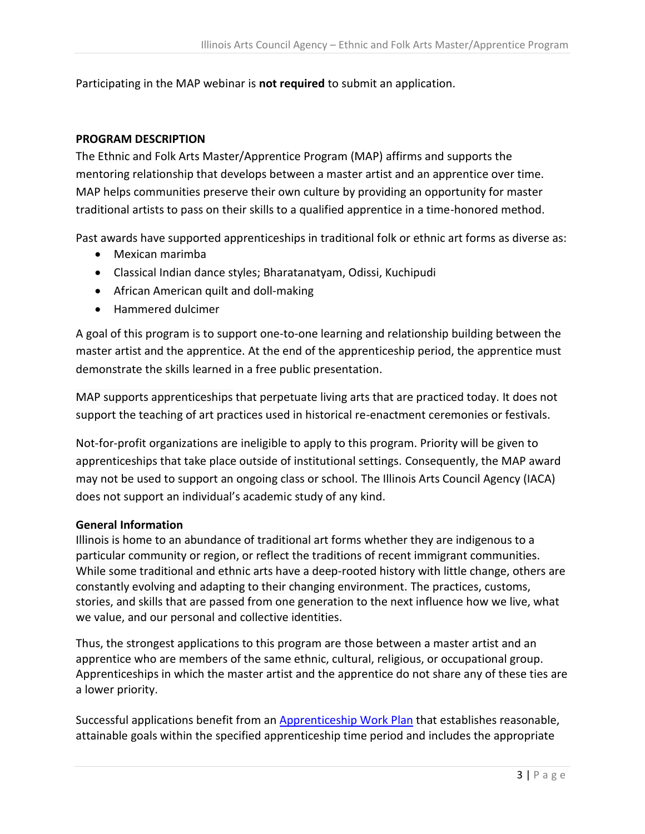Participating in the MAP webinar is **not required** to submit an application.

#### <span id="page-2-0"></span>**PROGRAM DESCRIPTION**

The Ethnic and Folk Arts Master/Apprentice Program (MAP) affirms and supports the mentoring relationship that develops between a master artist and an apprentice over time. MAP helps communities preserve their own culture by providing an opportunity for master traditional artists to pass on their skills to a qualified apprentice in a time-honored method.

Past awards have supported apprenticeships in traditional folk or ethnic art forms as diverse as:

- Mexican marimba
- Classical Indian dance styles; Bharatanatyam, Odissi, Kuchipudi
- African American quilt and doll-making
- Hammered dulcimer

A goal of this program is to support one-to-one learning and relationship building between the master artist and the apprentice. At the end of the apprenticeship period, the apprentice must demonstrate the skills learned in a free public presentation.

MAP supports apprenticeships that perpetuate living arts that are practiced today. It does not support the teaching of art practices used in historical re-enactment ceremonies or festivals.

Not-for-profit organizations are ineligible to apply to this program. Priority will be given to apprenticeships that take place outside of institutional settings. Consequently, the MAP award may not be used to support an ongoing class or school. The Illinois Arts Council Agency (IACA) does not support an individual's academic study of any kind.

#### <span id="page-2-1"></span>**General Information**

Illinois is home to an abundance of traditional art forms whether they are indigenous to a particular community or region, or reflect the traditions of recent immigrant communities. While some traditional and ethnic arts have a deep-rooted history with little change, others are constantly evolving and adapting to their changing environment. The practices, customs, stories, and skills that are passed from one generation to the next influence how we live, what we value, and our personal and collective identities.

Thus, the strongest applications to this program are those between a master artist and an apprentice who are members of the same ethnic, cultural, religious, or occupational group. Apprenticeships in which the master artist and the apprentice do not share any of these ties are a lower priority.

Successful applications benefit from an [Apprenticeship Work Plan](#page-4-0) that establishes reasonable, attainable goals within the specified apprenticeship time period and includes the appropriate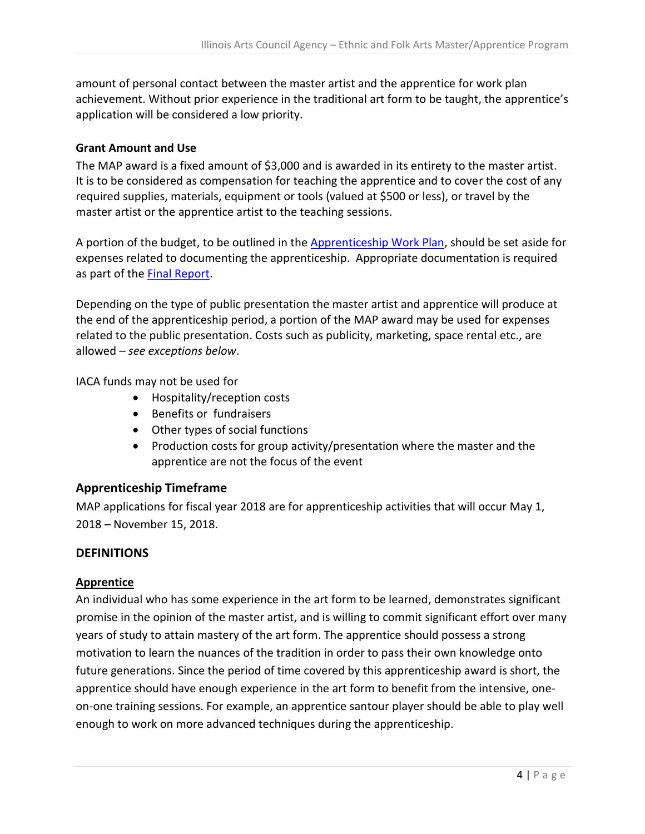amount of personal contact between the master artist and the apprentice for work plan achievement. Without prior experience in the traditional art form to be taught, the apprentice's application will be considered a low priority.

## <span id="page-3-0"></span>**Grant Amount and Use**

The MAP award is a fixed amount of \$3,000 and is awarded in its entirety to the master artist. It is to be considered as compensation for teaching the apprentice and to cover the cost of any required supplies, materials, equipment or tools (valued at \$500 or less), or travel by the master artist or the apprentice artist to the teaching sessions.

A portion of the budget, to be outlined in the [Apprenticeship Work Plan,](#page-4-0) should be set aside for expenses related to documenting the apprenticeship. Appropriate documentation is required as part of the [Final Report.](#page-11-3)

Depending on the type of public presentation the master artist and apprentice will produce at the end of the apprenticeship period, a portion of the MAP award may be used for expenses related to the public presentation. Costs such as publicity, marketing, space rental etc., are allowed – *see exceptions below*.

IACA funds may not be used for

- Hospitality/reception costs
- Benefits or fundraisers
- Other types of social functions
- Production costs for group activity/presentation where the master and the apprentice are not the focus of the event

## <span id="page-3-1"></span>**Apprenticeship Timeframe**

MAP applications for fiscal year 2018 are for apprenticeship activities that will occur May 1, 2018 – November 15, 2018.

## <span id="page-3-2"></span>**DEFINITIONS**

## **Apprentice**

An individual who has some experience in the art form to be learned, demonstrates significant promise in the opinion of the master artist, and is willing to commit significant effort over many years of study to attain mastery of the art form. The apprentice should possess a strong motivation to learn the nuances of the tradition in order to pass their own knowledge onto future generations. Since the period of time covered by this apprenticeship award is short, the apprentice should have enough experience in the art form to benefit from the intensive, oneon-one training sessions. For example, an apprentice santour player should be able to play well enough to work on more advanced techniques during the apprenticeship.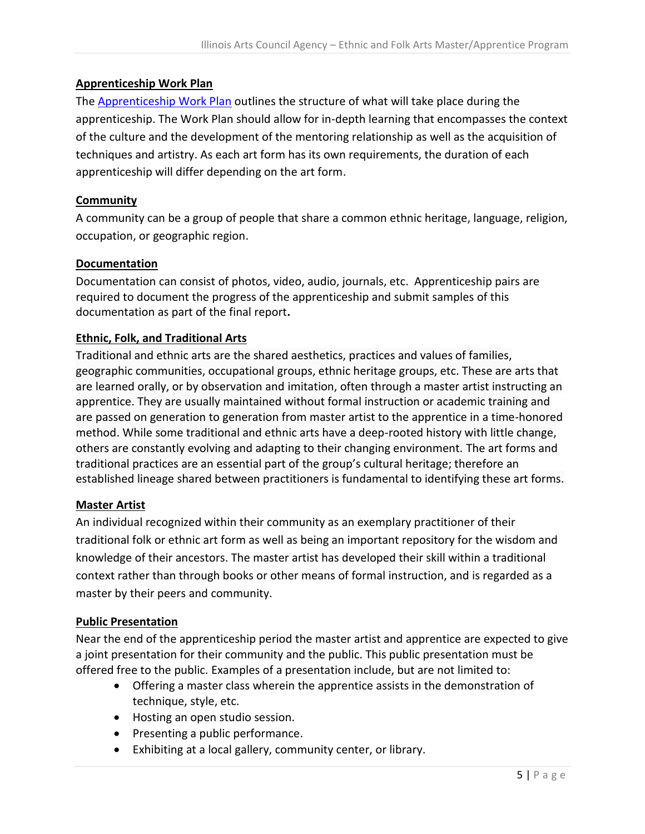## <span id="page-4-0"></span>**Apprenticeship Work Plan**

The [Apprenticeship Work Plan](#page-7-0) outlines the structure of what will take place during the apprenticeship. The Work Plan should allow for in-depth learning that encompasses the context of the culture and the development of the mentoring relationship as well as the acquisition of techniques and artistry. As each art form has its own requirements, the duration of each apprenticeship will differ depending on the art form.

## **Community**

A community can be a group of people that share a common ethnic heritage, language, religion, occupation, or geographic region.

#### **Documentation**

Documentation can consist of photos, video, audio, journals, etc. Apprenticeship pairs are required to document the progress of the apprenticeship and submit samples of this documentation as part of the final report**.**

#### **Ethnic, Folk, and Traditional Arts**

Traditional and ethnic arts are the shared aesthetics, practices and values of families, geographic communities, occupational groups, ethnic heritage groups, etc. These are arts that are learned orally, or by observation and imitation, often through a master artist instructing an apprentice. They are usually maintained without formal instruction or academic training and are passed on generation to generation from master artist to the apprentice in a time-honored method. While some traditional and ethnic arts have a deep-rooted history with little change, others are constantly evolving and adapting to their changing environment. The art forms and traditional practices are an essential part of the group's cultural heritage; therefore an established lineage shared between practitioners is fundamental to identifying these art forms.

#### **Master Artist**

An individual recognized within their community as an exemplary practitioner of their traditional folk or ethnic art form as well as being an important repository for the wisdom and knowledge of their ancestors. The master artist has developed their skill within a traditional context rather than through books or other means of formal instruction, and is regarded as a master by their peers and community.

#### **Public Presentation**

Near the end of the apprenticeship period the master artist and apprentice are expected to give a joint presentation for their community and the public. This public presentation must be offered free to the public. Examples of a presentation include, but are not limited to:

- Offering a master class wherein the apprentice assists in the demonstration of technique, style, etc.
- Hosting an open studio session.
- Presenting a public performance.
- Exhibiting at a local gallery, community center, or library.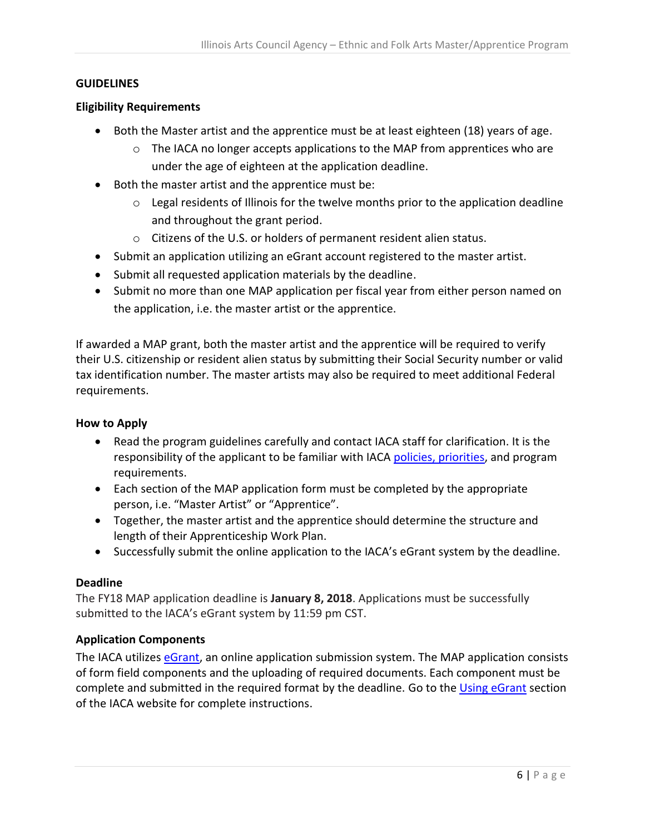#### <span id="page-5-0"></span>**GUIDELINES**

#### <span id="page-5-1"></span>**Eligibility Requirements**

- Both the Master artist and the apprentice must be at least eighteen (18) years of age.
	- o The IACA no longer accepts applications to the MAP from apprentices who are under the age of eighteen at the application deadline.
- Both the master artist and the apprentice must be:
	- o Legal residents of Illinois for the twelve months prior to the application deadline and throughout the grant period.
	- o Citizens of the U.S. or holders of permanent resident alien status.
- Submit an application utilizing an eGrant account registered to the master artist.
- Submit all requested application materials by the deadline.
- Submit no more than one MAP application per fiscal year from either person named on the application, i.e. the master artist or the apprentice.

If awarded a MAP grant, both the master artist and the apprentice will be required to verify their U.S. citizenship or resident alien status by submitting their Social Security number or valid tax identification number. The master artists may also be required to meet additional Federal requirements.

#### <span id="page-5-2"></span>**How to Apply**

- Read the program guidelines carefully and contact IACA staff for clarification. It is the responsibility of the applicant to be familiar with IAC[A policies, priorities,](http://www.arts.illinois.gov/grants-programs/funding-programs/policies-priorities) and program requirements.
- Each section of the MAP application form must be completed by the appropriate person, i.e. "Master Artist" or "Apprentice".
- Together, the master artist and the apprentice should determine the structure and length of their Apprenticeship Work Plan.
- Successfully submit the online application to the IACA's eGrant system by the deadline.

#### <span id="page-5-3"></span>**Deadline**

The FY18 MAP application deadline is **January 8, 2018**. Applications must be successfully submitted to the IACA's eGrant system by 11:59 pm CST.

#### <span id="page-5-4"></span>**Application Components**

The IACA utilizes [eGrant,](https://illinoisarts.egrant.net/login.aspx?PIID=147&OID=35) an online application submission system. The MAP application consists of form field components and the uploading of required documents. Each component must be complete and submitted in the required format by the deadline. Go to the [Using eGrant](http://www.arts.illinois.gov/Using%20Illinois%20eGrant) section of the IACA website for complete instructions.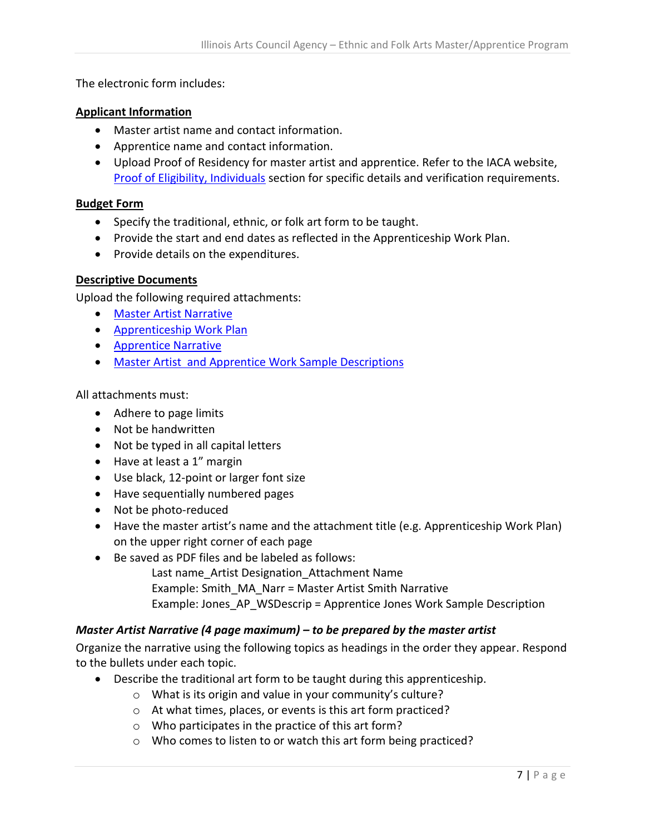The electronic form includes:

#### **Applicant Information**

- Master artist name and contact information.
- Apprentice name and contact information.
- Upload Proof of Residency for master artist and apprentice. Refer to the IACA website, [Proof of Eligibility, Individuals](http://www.arts.illinois.gov/Proof%20of%20Eligibility#IND) section for specific details and verification requirements.

#### **Budget Form**

- Specify the traditional, ethnic, or folk art form to be taught.
- Provide the start and end dates as reflected in the Apprenticeship Work Plan.
- Provide details on the expenditures.

#### **Descriptive Documents**

Upload the following required attachments:

- [Master Artist](#page-6-0) Narrative
- [Apprenticeship Work Plan](#page-7-0)
- [Apprentice Narrative](#page-8-0)
- [Master Artist and Apprentice Work Sample Descriptions](#page-8-1)

All attachments must:

- Adhere to page limits
- Not be handwritten
- Not be typed in all capital letters
- Have at least a 1" margin
- Use black, 12-point or larger font size
- Have sequentially numbered pages
- Not be photo-reduced
- Have the master artist's name and the attachment title (e.g. Apprenticeship Work Plan) on the upper right corner of each page
- Be saved as PDF files and be labeled as follows:
	- Last name\_Artist Designation\_Attachment Name Example: Smith\_MA\_Narr = Master Artist Smith Narrative
		- Example: Jones\_AP\_WSDescrip = Apprentice Jones Work Sample Description

## <span id="page-6-0"></span>*Master Artist Narrative (4 page maximum) – to be prepared by the master artist*

Organize the narrative using the following topics as headings in the order they appear. Respond to the bullets under each topic.

- Describe the traditional art form to be taught during this apprenticeship.
	- o What is its origin and value in your community's culture?
	- o At what times, places, or events is this art form practiced?
	- o Who participates in the practice of this art form?
	- o Who comes to listen to or watch this art form being practiced?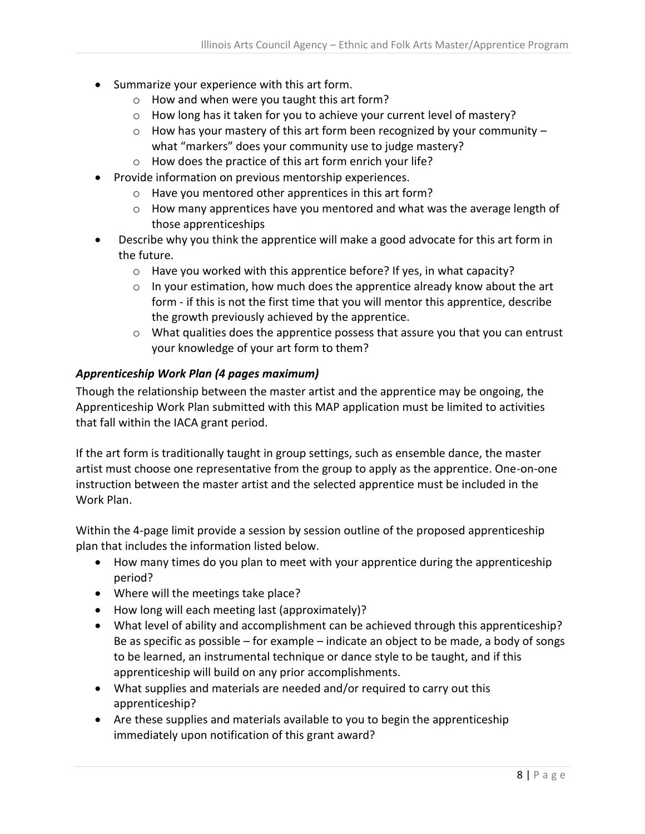- Summarize your experience with this art form.
	- o How and when were you taught this art form?
	- o How long has it taken for you to achieve your current level of mastery?
	- $\circ$  How has your mastery of this art form been recognized by your community what "markers" does your community use to judge mastery?
	- o How does the practice of this art form enrich your life?
- Provide information on previous mentorship experiences.
	- o Have you mentored other apprentices in this art form?
	- o How many apprentices have you mentored and what was the average length of those apprenticeships
- <span id="page-7-0"></span> Describe why you think the apprentice will make a good advocate for this art form in the future.
	- o Have you worked with this apprentice before? If yes, in what capacity?
	- $\circ$  In your estimation, how much does the apprentice already know about the art form - if this is not the first time that you will mentor this apprentice, describe the growth previously achieved by the apprentice.
	- o What qualities does the apprentice possess that assure you that you can entrust your knowledge of your art form to them?

#### *Apprenticeship Work Plan (4 pages maximum)*

Though the relationship between the master artist and the apprentice may be ongoing, the Apprenticeship Work Plan submitted with this MAP application must be limited to activities that fall within the IACA grant period.

If the art form is traditionally taught in group settings, such as ensemble dance, the master artist must choose one representative from the group to apply as the apprentice. One-on-one instruction between the master artist and the selected apprentice must be included in the Work Plan.

Within the 4-page limit provide a session by session outline of the proposed apprenticeship plan that includes the information listed below.

- How many times do you plan to meet with your apprentice during the apprenticeship period?
- Where will the meetings take place?
- How long will each meeting last (approximately)?
- What level of ability and accomplishment can be achieved through this apprenticeship? Be as specific as possible – for example – indicate an object to be made, a body of songs to be learned, an instrumental technique or dance style to be taught, and if this apprenticeship will build on any prior accomplishments.
- What supplies and materials are needed and/or required to carry out this apprenticeship?
- Are these supplies and materials available to you to begin the apprenticeship immediately upon notification of this grant award?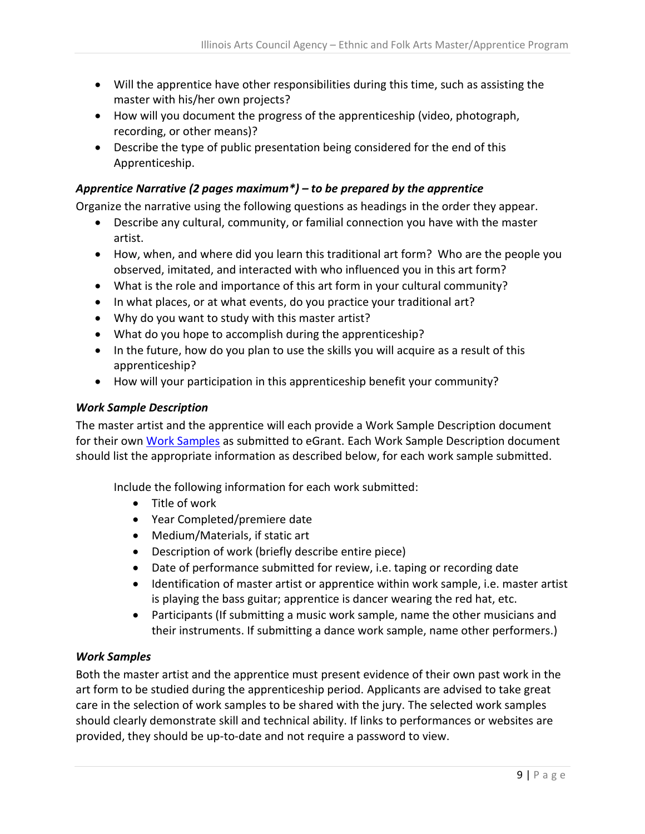- Will the apprentice have other responsibilities during this time, such as assisting the master with his/her own projects?
- How will you document the progress of the apprenticeship (video, photograph, recording, or other means)?
- Describe the type of public presentation being considered for the end of this Apprenticeship.

## <span id="page-8-0"></span>*Apprentice Narrative (2 pages maximum\*) – to be prepared by the apprentice*

Organize the narrative using the following questions as headings in the order they appear.

- Describe any cultural, community, or familial connection you have with the master artist.
- How, when, and where did you learn this traditional art form? Who are the people you observed, imitated, and interacted with who influenced you in this art form?
- What is the role and importance of this art form in your cultural community?
- In what places, or at what events, do you practice your traditional art?
- Why do you want to study with this master artist?
- What do you hope to accomplish during the apprenticeship?
- In the future, how do you plan to use the skills you will acquire as a result of this apprenticeship?
- How will your participation in this apprenticeship benefit your community?

#### <span id="page-8-1"></span>*Work Sample Description*

The master artist and the apprentice will each provide a Work Sample Description document for their own [Work Samples](#page-8-2) as submitted to eGrant. Each Work Sample Description document should list the appropriate information as described below, for each work sample submitted.

Include the following information for each work submitted:

- Title of work
- Year Completed/premiere date
- Medium/Materials, if static art
- Description of work (briefly describe entire piece)
- Date of performance submitted for review, i.e. taping or recording date
- Identification of master artist or apprentice within work sample, i.e. master artist is playing the bass guitar; apprentice is dancer wearing the red hat, etc.
- Participants (If submitting a music work sample, name the other musicians and their instruments. If submitting a dance work sample, name other performers.)

## <span id="page-8-2"></span>*Work Samples*

Both the master artist and the apprentice must present evidence of their own past work in the art form to be studied during the apprenticeship period. Applicants are advised to take great care in the selection of work samples to be shared with the jury. The selected work samples should clearly demonstrate skill and technical ability. If links to performances or websites are provided, they should be up-to-date and not require a password to view.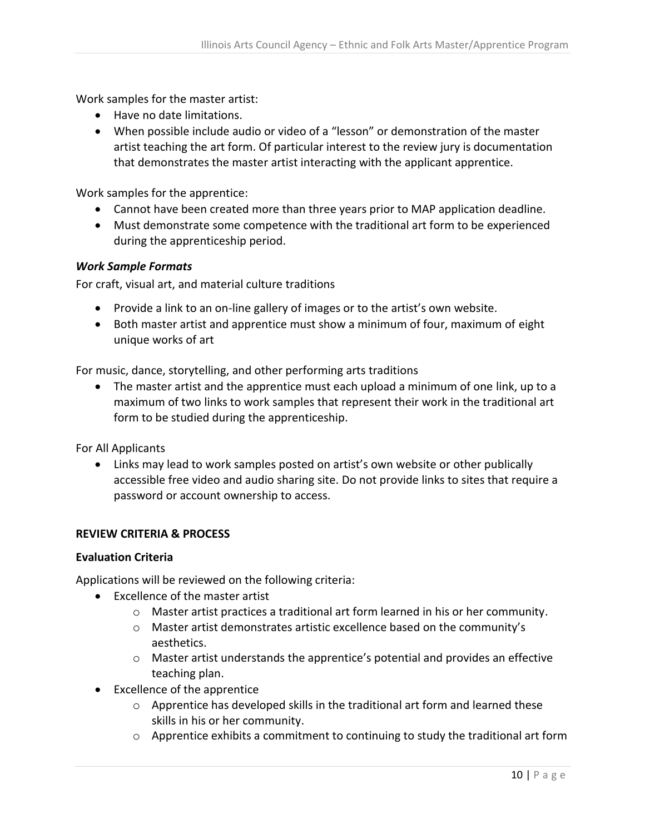Work samples for the master artist:

- Have no date limitations.
- When possible include audio or video of a "lesson" or demonstration of the master artist teaching the art form. Of particular interest to the review jury is documentation that demonstrates the master artist interacting with the applicant apprentice.

Work samples for the apprentice:

- Cannot have been created more than three years prior to MAP application deadline.
- Must demonstrate some competence with the traditional art form to be experienced during the apprenticeship period.

#### *Work Sample Formats*

For craft, visual art, and material culture traditions

- Provide a link to an on-line gallery of images or to the artist's own website.
- Both master artist and apprentice must show a minimum of four, maximum of eight unique works of art

For music, dance, storytelling, and other performing arts traditions

 The master artist and the apprentice must each upload a minimum of one link, up to a maximum of two links to work samples that represent their work in the traditional art form to be studied during the apprenticeship.

For All Applicants

 Links may lead to work samples posted on artist's own website or other publically accessible free video and audio sharing site. Do not provide links to sites that require a password or account ownership to access.

#### <span id="page-9-0"></span>**REVIEW CRITERIA & PROCESS**

#### <span id="page-9-1"></span>**Evaluation Criteria**

Applications will be reviewed on the following criteria:

- Excellence of the master artist
	- $\circ$  Master artist practices a traditional art form learned in his or her community.
	- o Master artist demonstrates artistic excellence based on the community's aesthetics.
	- $\circ$  Master artist understands the apprentice's potential and provides an effective teaching plan.
- Excellence of the apprentice
	- $\circ$  Apprentice has developed skills in the traditional art form and learned these skills in his or her community.
	- $\circ$  Apprentice exhibits a commitment to continuing to study the traditional art form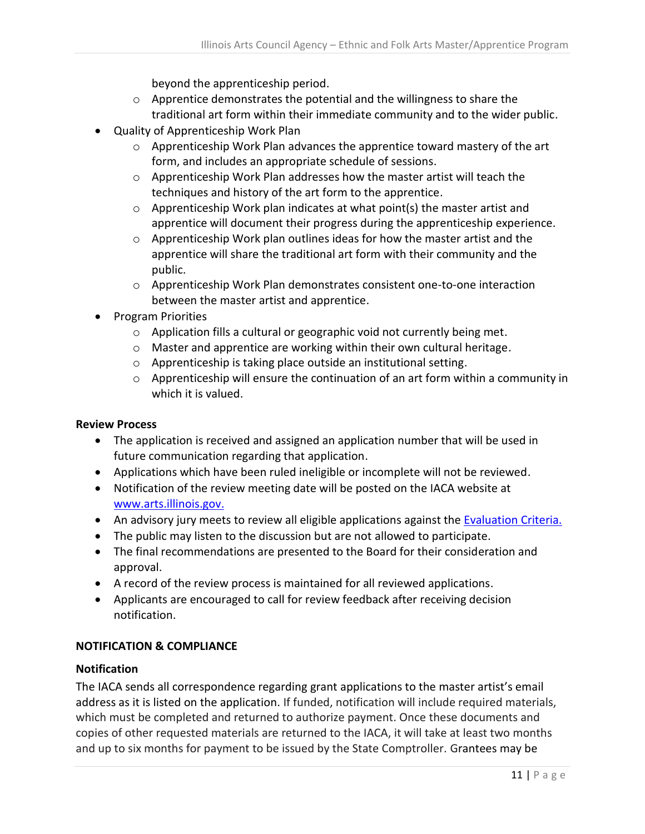beyond the apprenticeship period.

- o Apprentice demonstrates the potential and the willingness to share the traditional art form within their immediate community and to the wider public.
- Quality of Apprenticeship Work Plan
	- $\circ$  Apprenticeship Work Plan advances the apprentice toward mastery of the art form, and includes an appropriate schedule of sessions.
	- o Apprenticeship Work Plan addresses how the master artist will teach the techniques and history of the art form to the apprentice.
	- o Apprenticeship Work plan indicates at what point(s) the master artist and apprentice will document their progress during the apprenticeship experience.
	- $\circ$  Apprenticeship Work plan outlines ideas for how the master artist and the apprentice will share the traditional art form with their community and the public.
	- o Apprenticeship Work Plan demonstrates consistent one-to-one interaction between the master artist and apprentice.
- Program Priorities
	- o Application fills a cultural or geographic void not currently being met.
	- o Master and apprentice are working within their own cultural heritage.
	- o Apprenticeship is taking place outside an institutional setting.
	- o Apprenticeship will ensure the continuation of an art form within a community in which it is valued.

## <span id="page-10-0"></span>**Review Process**

- The application is received and assigned an application number that will be used in future communication regarding that application.
- Applications which have been ruled ineligible or incomplete will not be reviewed.
- Notification of the review meeting date will be posted on the IACA website at [www.arts.illinois.gov.](http://www.arts.illinois.gov/)
- An advisory jury meets to review all eligible applications against the [Evaluation Criteria.](#page-9-1)
- The public may listen to the discussion but are not allowed to participate.
- The final recommendations are presented to the Board for their consideration and approval.
- A record of the review process is maintained for all reviewed applications.
- Applicants are encouraged to call for review feedback after receiving decision notification.

## <span id="page-10-1"></span>**NOTIFICATION & COMPLIANCE**

## <span id="page-10-2"></span>**Notification**

The IACA sends all correspondence regarding grant applications to the master artist's email address as it is listed on the application. If funded, notification will include required materials, which must be completed and returned to authorize payment. Once these documents and copies of other requested materials are returned to the IACA, it will take at least two months and up to six months for payment to be issued by the State Comptroller. Grantees may be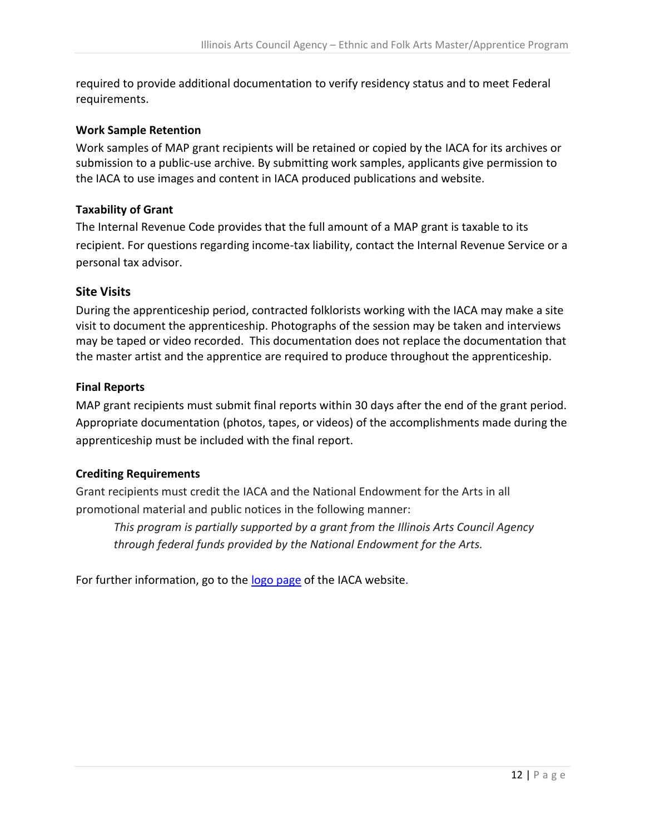required to provide additional documentation to verify residency status and to meet Federal requirements.

## <span id="page-11-0"></span>**Work Sample Retention**

Work samples of MAP grant recipients will be retained or copied by the IACA for its archives or submission to a public-use archive. By submitting work samples, applicants give permission to the IACA to use images and content in IACA produced publications and website.

## <span id="page-11-1"></span>**Taxability of Grant**

The Internal Revenue Code provides that the full amount of a MAP grant is taxable to its recipient. For questions regarding income-tax liability, contact the Internal Revenue Service or a personal tax advisor.

## <span id="page-11-2"></span>**Site Visits**

During the apprenticeship period, contracted folklorists working with the IACA may make a site visit to document the apprenticeship. Photographs of the session may be taken and interviews may be taped or video recorded. This documentation does not replace the documentation that the master artist and the apprentice are required to produce throughout the apprenticeship.

## <span id="page-11-3"></span>**Final Reports**

MAP grant recipients must submit final reports within 30 days after the end of the grant period. Appropriate documentation (photos, tapes, or videos) of the accomplishments made during the apprenticeship must be included with the final report.

## <span id="page-11-4"></span>**Crediting Requirements**

Grant recipients must credit the IACA and the National Endowment for the Arts in all promotional material and public notices in the following manner:

*This program is partially supported by a grant from the Illinois Arts Council Agency through federal funds provided by the National Endowment for the Arts.*

For further information, go to the [logo page](http://www.arts.illinois.gov/IACLogo) of the IACA website.